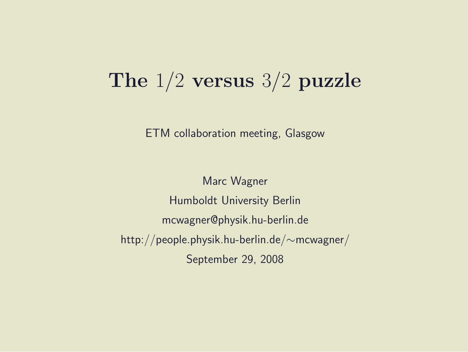### The 1/2 versus 3/2 puzzle

ETM collaboration meeting, Glasgow

Marc Wagner Humboldt University Berlin mcwagner@physik.hu-berlin.de http://people.physik.hu-berlin.de/∼mcwagner/ September 29, 2008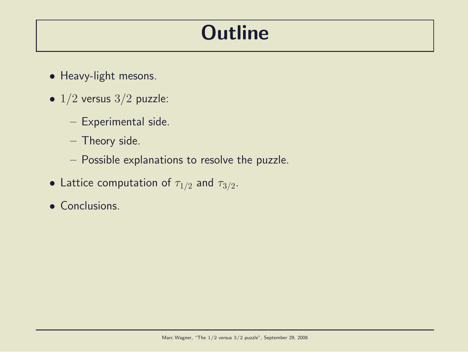## **Outline**

- Heavy-light mesons.
- $\bullet$  1/2 versus 3/2 puzzle:
	- Experimental side.
	- Theory side.
	- Possible explanations to resolve the puzzle.
- Lattice computation of  $\tau_{1/2}$  and  $\tau_{3/2}$ .
- Conclusions.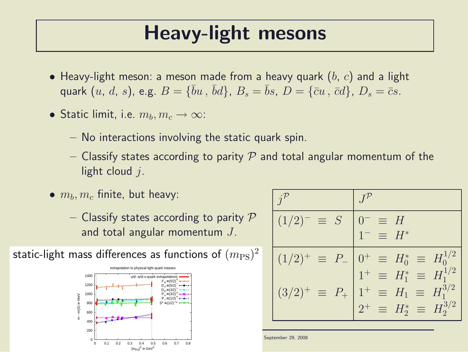### Heavy-light mesons

- Heavy-light meson: a meson made from a heavy quark  $(b, c)$  and a light quark  $(u, d, s)$ , e.g.  $B = \{\bar{b}u, \bar{b}d\}$ ,  $B_s = \bar{b}s$ ,  $D = \{\bar{c}u, \bar{c}d\}$ ,  $D_s = \bar{c}s$ .
- Static limit, i.e.  $m_b, m_c \rightarrow \infty$ :
	- No interactions involving the static quark spin.
	- Classify states according to parity P and total angular momentum of the light cloud  $i$ .
- $\bullet$   $m_b, m_c$  finite, but heavy:
	- Classify states according to parity  $P$ and total angular momentum  $J$ .



| $(1/2)^{-} \equiv S$            | $\equiv$ H<br>$1^- = H^*$                                                                                                               |
|---------------------------------|-----------------------------------------------------------------------------------------------------------------------------------------|
|                                 | $(1/2)^{+} \equiv P_{-}$ $\begin{bmatrix} 0^{+} \equiv H_0^{*} \equiv H_0^{1/2} \\ 1^{+} \equiv H_1^{*} \equiv H_1^{1/2} \end{bmatrix}$ |
| $(3/2)^{+}$<br>$\equiv$ $P_{+}$ | $1^+ \equiv H_1 \equiv H_1^{3/2}$                                                                                                       |
|                                 | $2^+ \equiv H_2^* \equiv H_2^{3/2}$                                                                                                     |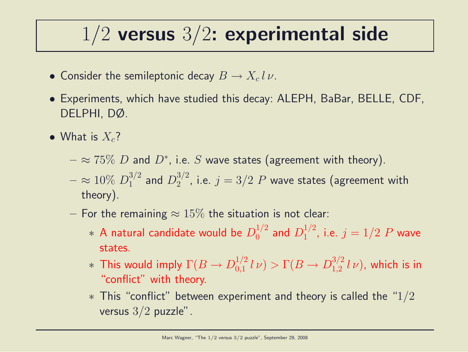## $1/2$  versus  $3/2$ : experimental side

- Consider the semileptonic decay  $B \to X_c l \, \nu$ .
- Experiments, which have studied this decay: ALEPH, BaBar, BELLE, CDF, DELPHI, DØ.
- What is  $X_c$ ?
	- $\approx$   $75\%$   $D$  and  $D^*$ , i.e.  $S$  wave states (agreement with theory).
	- $\approx 10\% \ D_1^{3/2}$  $_1^{3/2}$  and  $D_2^{3/2}$  $2^{3/2}$ , i.e.  $j = 3/2$   $P$  wave states (agreement with theory).
	- For the remaining  $\approx 15\%$  the situation is not clear:
		- $\ast$  A natural candidate would be  $D_0^{1/2}$  $_0^{1/2}$  and  $D_1^{1/2}$  $j^{1/2}$ , i.e.  $j = 1/2$   $P$  wave states.
		- $*$  This would imply  $\Gamma(B \to D^{1/2}_{0,1})$  $\int_{0,1}^{1/2} l \nu$   $> \Gamma(B \to D_{1,2}^{3/2})$  $\int_{1,2}^{3/2} l \nu$ ), which is in "conflict" with theory.
		- $*$  This "conflict" between experiment and theory is called the "1/2 versus  $3/2$  puzzle".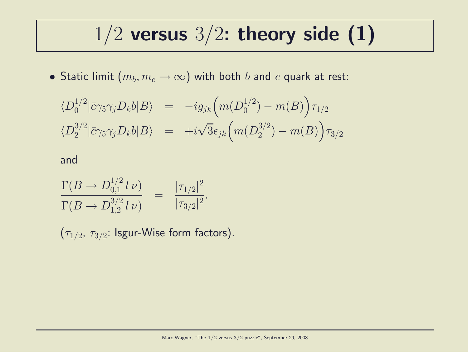## $1/2$  versus  $3/2$ : theory side (1)

 $\bullet$  Static limit  $(m_b,m_c\to\infty)$  with both  $b$  and  $c$  quark at rest:

$$
\langle D_0^{1/2} | \bar{c} \gamma_5 \gamma_j D_k b | B \rangle = -ig_{jk} \Big( m(D_0^{1/2}) - m(B) \Big) \tau_{1/2}
$$
  

$$
\langle D_2^{3/2} | \bar{c} \gamma_5 \gamma_j D_k b | B \rangle = +i\sqrt{3} \epsilon_{jk} \Big( m(D_2^{3/2}) - m(B) \Big) \tau_{3/2}
$$

and

$$
\frac{\Gamma(B \to D_{0,1}^{1/2} l \nu)}{\Gamma(B \to D_{1,2}^{3/2} l \nu)} = \frac{|\tau_{1/2}|^2}{|\tau_{3/2}|^2}.
$$

 $(\tau_{1/2},\,\tau_{3/2}\!\!:1$ sgur-Wise form factors).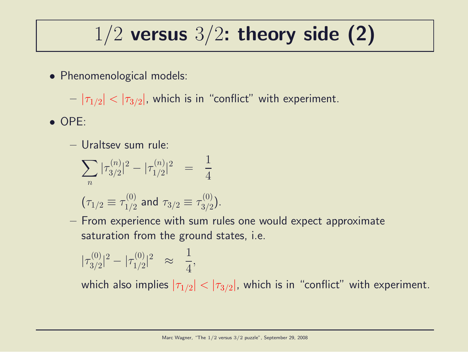## $1/2$  versus  $3/2$ : theory side (2)

• Phenomenological models:

 $-|\tau_{1/2}|<|\tau_{3/2}|$ , which is in "conflict" with experiment.

- OPE:
	- Uraltsev sum rule:

$$
\sum_{n} |\tau_{3/2}^{(n)}|^2 - |\tau_{1/2}^{(n)}|^2 = \frac{1}{4}
$$
  
\n $(\tau_{1/2} \equiv \tau_{1/2}^{(0)}$  and  $\tau_{3/2} \equiv \tau_{3/2}^{(0)}$ .

– From experience with sum rules one would expect approximate saturation from the ground states, i.e.

$$
|\tau_{3/2}^{(0)}|^2 - |\tau_{1/2}^{(0)}|^2 \quad \approx \quad \frac{1}{4},
$$

which also implies  $|\tau_{1/2}| < |\tau_{3/2}|$ , which is in "conflict" with experiment.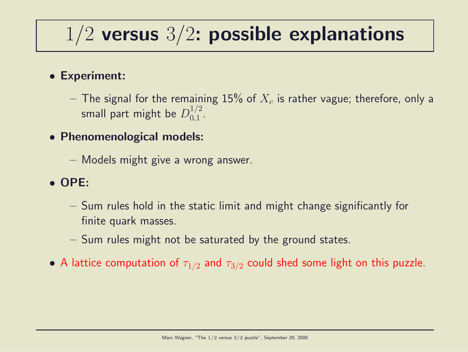## $1/2$  versus  $3/2$ : possible explanations

### • Experiment:

- $-$  The signal for the remaining  $15\%$  of  $X_c$  is rather vague; therefore, only a small part might be  $D_{0.1}^{1/2}$  $\frac{1}{2}$ .
- Phenomenological models:
	- Models might give a wrong answer.

### • OPE:

- Sum rules hold in the static limit and might change significantly for finite quark masses.
- Sum rules might not be saturated by the ground states.
- A lattice computation of  $\tau_{1/2}$  and  $\tau_{3/2}$  could shed some light on this puzzle.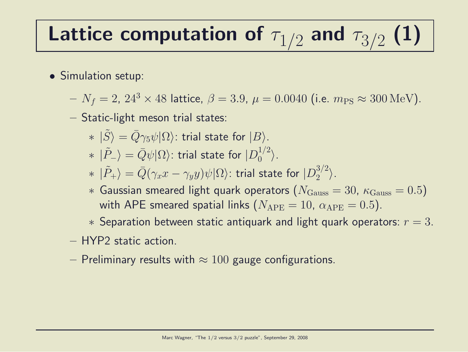## Lattice computation of  $\tau_{1/2}$  and  $\tau_{3/2}$  (1)

- Simulation setup:
	- $N_f = 2$ ,  $24^3 \times 48$  lattice,  $\beta = 3.9$ ,  $\mu = 0.0040$  (i.e.  $m_{PS} \approx 300 \text{ MeV}$ ).
	- Static-light meson trial states:
		- $* \,\, |\tilde{S}\rangle = \bar{Q}\gamma_5 \psi |\Omega\rangle$ : trial state for  $|B\rangle$ .
		- $* \,\ket{\tilde{P}_-} = \bar{Q}\psi |\Omega\rangle$ : trial state for  $|D_0^{1/2}\rangle$  $\binom{1}{0}^{\frac{1}{2}}$ .
		- $* \,\ket{\tilde{P}_+} = \bar{Q}(\gamma_x x \gamma_y y)\psi |\Omega\rangle$ : trial state for  $|D_2^{3/2}|$  $\binom{3}{2}$ .
		- $*$  Gaussian smeared light quark operators ( $N_{\text{Gauss}} = 30$ ,  $\kappa_{\text{Gauss}} = 0.5$ ) with APE smeared spatial links  $(N_{\text{APE}} = 10, \alpha_{\text{APE}} = 0.5)$ .
		- $*$  Separation between static antiquark and light quark operators:  $r = 3$ .
	- HYP2 static action.
	- Preliminary results with  $\approx 100$  gauge configurations.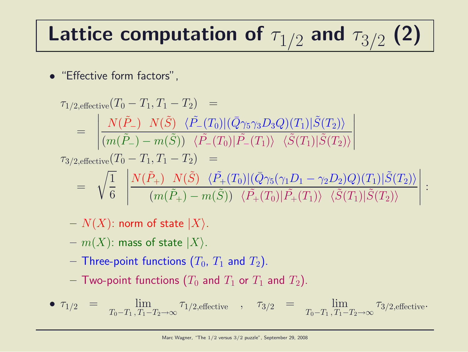# Lattice computation of  $\tau_{1/2}$  and  $\tau_{3/2}$  (2)

• "Effective form factors",

$$
\tau_{1/2, \text{effective}}(T_0 - T_1, T_1 - T_2) =
$$
\n
$$
= \left| \frac{N(\tilde{P}_{-}) \ N(\tilde{S}) \ \langle \tilde{P}_{-}(T_0) | (\bar{Q} \gamma_5 \gamma_3 D_3 Q)(T_1) | \tilde{S}(T_2) \rangle}{(m(\tilde{P}_{-}) - m(\tilde{S})) \ \langle \tilde{P}_{-}(T_0) | \tilde{P}_{-}(T_1) \rangle \ \langle \tilde{S}(T_1) | \tilde{S}(T_2) \rangle} \right|
$$
\n
$$
\tau_{3/2, \text{effective}}(T_0 - T_1, T_1 - T_2) =
$$
\n
$$
= \sqrt{\frac{1}{6}} \left| \frac{N(\tilde{P}_{+}) \ N(\tilde{S}) \ \langle \tilde{P}_{+}(T_0) | (\bar{Q} \gamma_5 (\gamma_1 D_1 - \gamma_2 D_2) Q)(T_1) | \tilde{S}(T_2) \rangle}{(m(\tilde{P}_{+}) - m(\tilde{S})) \ \langle \tilde{P}_{+}(T_0) | \tilde{P}_{+}(T_1) \rangle \ \langle \tilde{S}(T_1) | \tilde{S}(T_2) \rangle} \right| :
$$

- $N(X)$ : norm of state  $|X\rangle$ .
- $m(X)$ : mass of state  $|X\rangle$ .
- Three-point functions  $(T_0, T_1$  and  $T_2$ ).
- Two-point functions  $(T_0$  and  $T_1$  or  $T_1$  and  $T_2$ ).

• 
$$
\tau_{1/2}
$$
 =  $\lim_{T_0 - T_1, T_1 - T_2 \to \infty} \tau_{1/2, \text{effective}}$ ,  $\tau_{3/2}$  =  $\lim_{T_0 - T_1, T_1 - T_2 \to \infty} \tau_{3/2, \text{effective}}$ .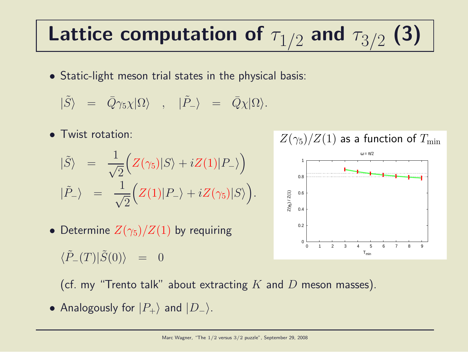## Lattice computation of  $\tau_{1/2}$  and  $\tau_{3/2}$  (3)

• Static-light meson trial states in the physical basis:

$$
|\tilde{S}\rangle = \bar{Q}\gamma_5\chi|\Omega\rangle , |\tilde{P}_-\rangle = \bar{Q}\chi|\Omega\rangle.
$$

• Twist rotation:

$$
\begin{aligned}\n|\tilde{S}\rangle &= \frac{1}{\sqrt{2}} \Big( Z(\gamma_5) |S\rangle + iZ(1)|P_-\rangle \Big) \\
|\tilde{P}_-\rangle &= \frac{1}{\sqrt{2}} \Big( Z(1)|P_-\rangle + iZ(\gamma_5)|S\rangle \Big).\n\end{aligned}
$$

• Determine  $Z(\gamma_5)/Z(1)$  by requiring

 $\langle \tilde{P}_{-}(T)|\tilde{S}(0)\rangle = 0$ 



(cf. my "Trento talk" about extracting  $K$  and  $D$  meson masses).

• Analogously for  $|P_+\rangle$  and  $|D_-\rangle$ .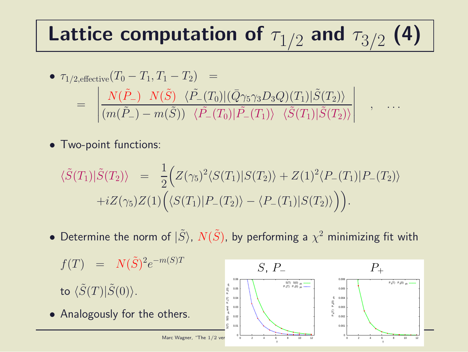## Lattice computation of  $\tau_{1/2}$  and  $\tau_{3/2}$  (4)

• 
$$
\tau_{1/2,\text{effective}}(T_0 - T_1, T_1 - T_2) =
$$
  
\n
$$
= \begin{vmatrix}\nN(\tilde{P}_{-}) & N(\tilde{S}) & \langle \tilde{P}_{-}(T_0)|(\bar{Q}\gamma_5\gamma_3D_3Q)(T_1)|\tilde{S}(T_2)\rangle \\
\vdots & \vdots & \vdots \\
(m(\tilde{P}_{-}) - m(\tilde{S})) & \langle \tilde{P}_{-}(T_0)|\tilde{P}_{-}(T_1)\rangle & \langle \tilde{S}(T_1)|\tilde{S}(T_2)\rangle\n\end{vmatrix}, \dots
$$

• Two-point functions:

$$
\langle \tilde{S}(T_1) | \tilde{S}(T_2) \rangle = \frac{1}{2} \Big( Z(\gamma_5)^2 \langle S(T_1) | S(T_2) \rangle + Z(1)^2 \langle P_-(T_1) | P_-(T_2) \rangle + i Z(\gamma_5) Z(1) \Big( \langle S(T_1) | P_-(T_2) \rangle - \langle P_-(T_1) | S(T_2) \rangle \Big) \Big).
$$

• Determine the norm of  $|\tilde{S}\rangle$ ,  $N(\tilde{S})$ , by performing a  $\chi^2$  minimizing fit with

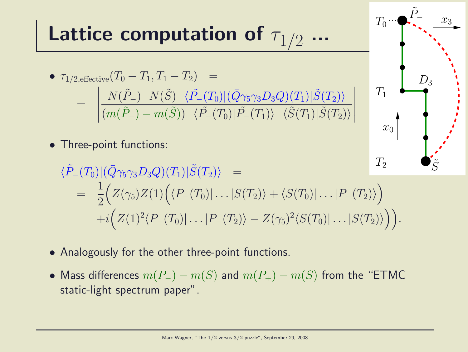#### Lattice computation of  $\tau_1$ ... (5)  $\int_{0}^{\infty}$

• 
$$
\tau_{1/2, \text{effective}}(T_0 - T_1, T_1 - T_2) =
$$
  
\n
$$
= \left| \frac{N(\tilde{P}_-) \ N(\tilde{S}) \ \langle \tilde{P}_-(T_0) | (\bar{Q}\gamma_5 \gamma_3 D_3 Q)(T_1) | \tilde{S}(T_2) \rangle}{(m(\tilde{P}_-) - m(\tilde{S})) \ \langle \tilde{P}_-(T_0) | \tilde{P}_-(T_1) \rangle \ \langle \tilde{S}(T_1) | \tilde{S}(T_2) \rangle} \right|
$$

• Three-point functions:

$$
\langle \tilde{P}_{-}(T_{0}) | (\bar{Q}\gamma_{5}\gamma_{3}D_{3}Q)(T_{1}) | \tilde{S}(T_{2}) \rangle =
$$
  
=  $\frac{1}{2} \Big( Z(\gamma_{5}) Z(1) \Big( \langle P_{-}(T_{0}) | \ldots | S(T_{2}) \rangle + \langle S(T_{0}) | \ldots | P_{-}(T_{2}) \rangle \Big) + i \Big( Z(1)^{2} \langle P_{-}(T_{0}) | \ldots | P_{-}(T_{2}) \rangle - Z(\gamma_{5})^{2} \langle S(T_{0}) | \ldots | S(T_{2}) \rangle \Big) \Big).$   

 $T_1$ 

 $x_0$ 

 $D_3$ 

 $\tilde{P}_-$ 

 $\tilde{S}$ 

 $\overline{x_3}$ 

 $T_0$ 

- Analogously for the other three-point functions.
- Mass differences  $m(P_{-}) m(S)$  and  $m(P_{+}) m(S)$  from the "ETMC static-light spectrum paper".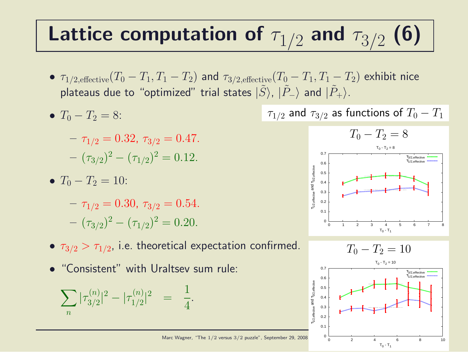#### Lattice computation of  $\tau_{1/2}$  and  $\tau_{3/2}$ (6)

- $\tau_{1/2,\text{effective}}(T_0-T_1,T_1-T_2)$  and  $\tau_{3/2,\text{effective}}(T_0-T_1,T_1-T_2)$  exhibit nice plateaus due to "optimized" trial states  $|\tilde{S}\rangle$ ,  $|\tilde{P}_-\rangle$  and  $|\tilde{P}_+\rangle$ .
- $T_0 T_2 = 8$ :

$$
-\tau_{1/2} = 0.32, \tau_{3/2} = 0.47.
$$

$$
-(\tau_{3/2})^2 - (\tau_{1/2})^2 = 0.12.
$$

•  $T_0 - T_2 = 10$ :

 $-\tau_{1/2} = 0.30, \tau_{3/2} = 0.54.$  $(\tau_{3/2})^2 - (\tau_{1/2})^2 = 0.20.$ 

- $\bullet$   $\tau_{3/2} > \tau_{1/2}$ , i.e. theoretical expectation confirmed.
- "Consistent" with Uraltsev sum rule:

$$
\sum_{n} |\tau_{3/2}^{(n)}|^2 - |\tau_{1/2}^{(n)}|^2 = \frac{1}{4}.
$$

 $\tau_{1/2}$  and  $\tau_{3/2}$  as functions of  $T_0 - T_1$ 



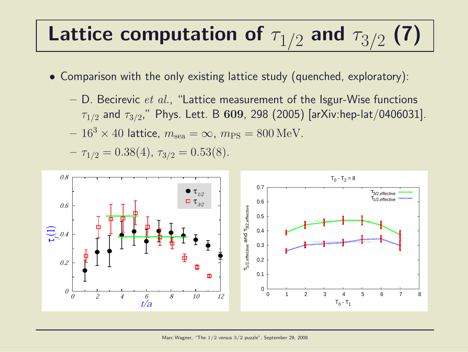#### Lattice computation of  $\tau_{1/2}$  and  $\tau_{3/2}$  $\blacksquare$

- Comparison with the only existing lattice study (quenched, exploratory):
	- $-$  D. Becirevic *et al.*, "Lattice measurement of the Isgur-Wise functions  $\tau_{1/2}$  and  $\tau_{3/2}$ ," Phys. Lett. B  $\bf 609$ , 298 (2005) [arXiv:hep-lat/0406031].

$$
-163 \times 40
$$
 lattice,  $msea = \infty$ ,  $mPS = 800$  MeV.

 $- \tau_{1/2} = 0.38(4), \tau_{3/2} = 0.53(8).$